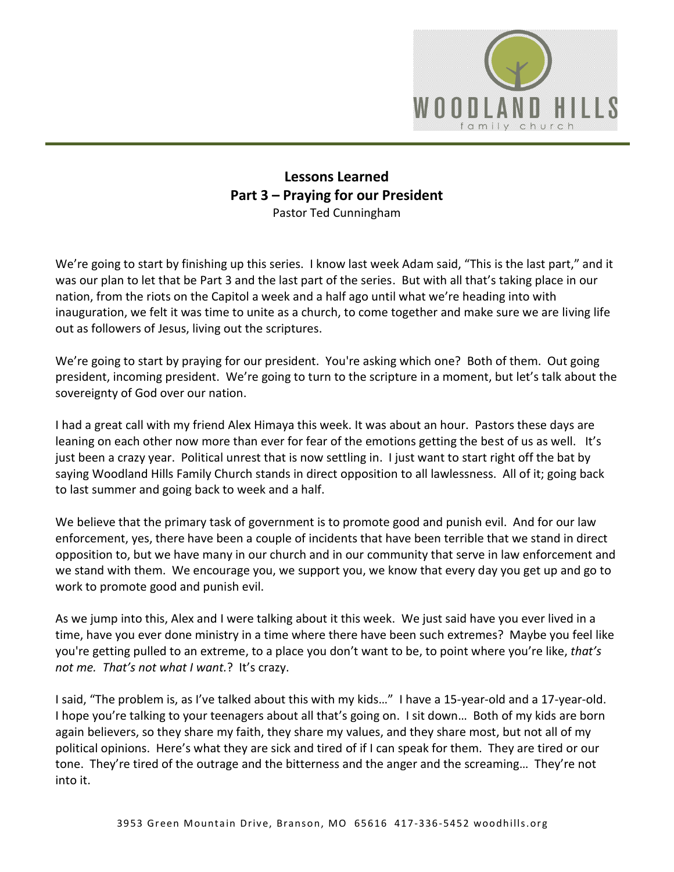

## **Lessons Learned Part 3 – Praying for our President** Pastor Ted Cunningham

We're going to start by finishing up this series. I know last week Adam said, "This is the last part," and it was our plan to let that be Part 3 and the last part of the series. But with all that's taking place in our nation, from the riots on the Capitol a week and a half ago until what we're heading into with inauguration, we felt it was time to unite as a church, to come together and make sure we are living life out as followers of Jesus, living out the scriptures.

We're going to start by praying for our president. You're asking which one? Both of them. Out going president, incoming president. We're going to turn to the scripture in a moment, but let's talk about the sovereignty of God over our nation.

I had a great call with my friend Alex Himaya this week. It was about an hour. Pastors these days are leaning on each other now more than ever for fear of the emotions getting the best of us as well. It's just been a crazy year. Political unrest that is now settling in. I just want to start right off the bat by saying Woodland Hills Family Church stands in direct opposition to all lawlessness. All of it; going back to last summer and going back to week and a half.

We believe that the primary task of government is to promote good and punish evil. And for our law enforcement, yes, there have been a couple of incidents that have been terrible that we stand in direct opposition to, but we have many in our church and in our community that serve in law enforcement and we stand with them. We encourage you, we support you, we know that every day you get up and go to work to promote good and punish evil.

As we jump into this, Alex and I were talking about it this week. We just said have you ever lived in a time, have you ever done ministry in a time where there have been such extremes? Maybe you feel like you're getting pulled to an extreme, to a place you don't want to be, to point where you're like, *that's not me. That's not what I want.*? It's crazy.

I said, "The problem is, as I've talked about this with my kids…" I have a 15-year-old and a 17-year-old. I hope you're talking to your teenagers about all that's going on. I sit down… Both of my kids are born again believers, so they share my faith, they share my values, and they share most, but not all of my political opinions. Here's what they are sick and tired of if I can speak for them. They are tired or our tone. They're tired of the outrage and the bitterness and the anger and the screaming… They're not into it.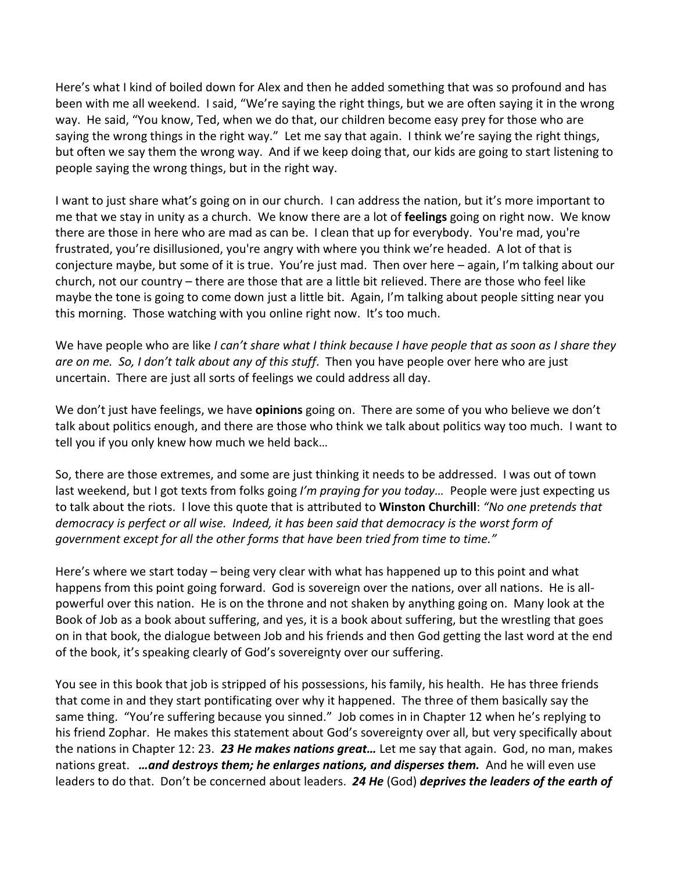Here's what I kind of boiled down for Alex and then he added something that was so profound and has been with me all weekend. I said, "We're saying the right things, but we are often saying it in the wrong way. He said, "You know, Ted, when we do that, our children become easy prey for those who are saying the wrong things in the right way." Let me say that again. I think we're saying the right things, but often we say them the wrong way. And if we keep doing that, our kids are going to start listening to people saying the wrong things, but in the right way.

I want to just share what's going on in our church. I can address the nation, but it's more important to me that we stay in unity as a church. We know there are a lot of **feelings** going on right now. We know there are those in here who are mad as can be. I clean that up for everybody. You're mad, you're frustrated, you're disillusioned, you're angry with where you think we're headed. A lot of that is conjecture maybe, but some of it is true. You're just mad. Then over here – again, I'm talking about our church, not our country – there are those that are a little bit relieved. There are those who feel like maybe the tone is going to come down just a little bit. Again, I'm talking about people sitting near you this morning. Those watching with you online right now. It's too much.

We have people who are like *I can't share what I think because I have people that as soon as I share they are on me. So, I don't talk about any of this stuff*. Then you have people over here who are just uncertain. There are just all sorts of feelings we could address all day.

We don't just have feelings, we have **opinions** going on. There are some of you who believe we don't talk about politics enough, and there are those who think we talk about politics way too much. I want to tell you if you only knew how much we held back…

So, there are those extremes, and some are just thinking it needs to be addressed. I was out of town last weekend, but I got texts from folks going *I'm praying for you today…* People were just expecting us to talk about the riots. I love this quote that is attributed to **Winston Churchill**: *"No one pretends that democracy is perfect or all wise. Indeed, it has been said that democracy is the worst form of government except for all the other forms that have been tried from time to time."*

Here's where we start today – being very clear with what has happened up to this point and what happens from this point going forward. God is sovereign over the nations, over all nations. He is allpowerful over this nation. He is on the throne and not shaken by anything going on. Many look at the Book of Job as a book about suffering, and yes, it is a book about suffering, but the wrestling that goes on in that book, the dialogue between Job and his friends and then God getting the last word at the end of the book, it's speaking clearly of God's sovereignty over our suffering.

You see in this book that job is stripped of his possessions, his family, his health. He has three friends that come in and they start pontificating over why it happened. The three of them basically say the same thing. "You're suffering because you sinned." Job comes in in Chapter 12 when he's replying to his friend Zophar. He makes this statement about God's sovereignty over all, but very specifically about the nations in Chapter 12: 23. *23 He makes nations great…* Let me say that again. God, no man, makes nations great. *…and destroys them; he enlarges nations, and disperses them.* And he will even use leaders to do that. Don't be concerned about leaders. *24 He* (God) *deprives the leaders of the earth of*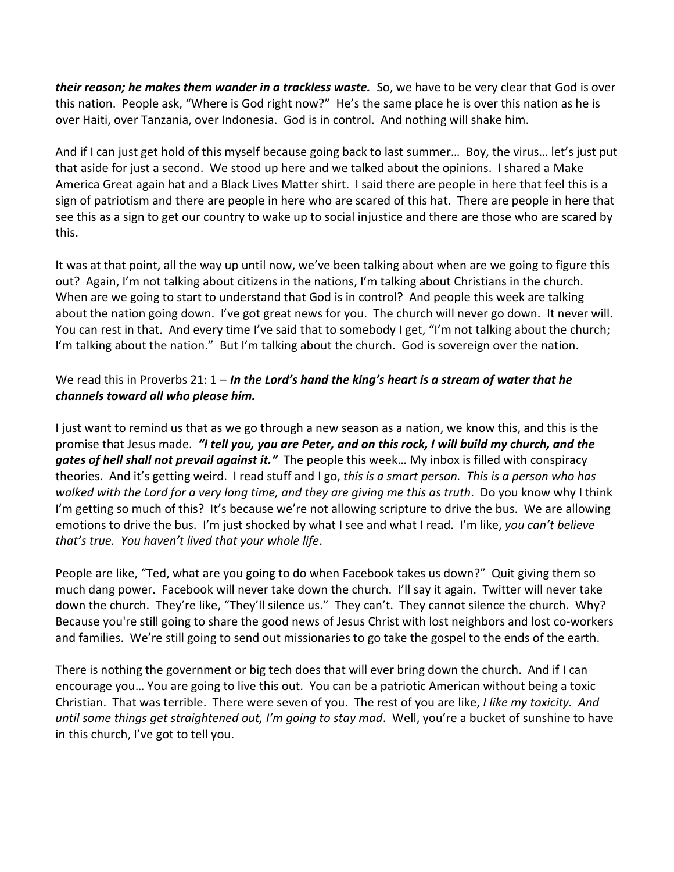*their reason; he makes them wander in a trackless waste.* So, we have to be very clear that God is over this nation. People ask, "Where is God right now?" He's the same place he is over this nation as he is over Haiti, over Tanzania, over Indonesia. God is in control. And nothing will shake him.

And if I can just get hold of this myself because going back to last summer… Boy, the virus… let's just put that aside for just a second. We stood up here and we talked about the opinions. I shared a Make America Great again hat and a Black Lives Matter shirt. I said there are people in here that feel this is a sign of patriotism and there are people in here who are scared of this hat. There are people in here that see this as a sign to get our country to wake up to social injustice and there are those who are scared by this.

It was at that point, all the way up until now, we've been talking about when are we going to figure this out? Again, I'm not talking about citizens in the nations, I'm talking about Christians in the church. When are we going to start to understand that God is in control? And people this week are talking about the nation going down. I've got great news for you. The church will never go down. It never will. You can rest in that. And every time I've said that to somebody I get, "I'm not talking about the church; I'm talking about the nation." But I'm talking about the church. God is sovereign over the nation.

## We read this in Proverbs 21: 1 – *In the Lord's hand the king's heart is a stream of water that he channels toward all who please him.*

I just want to remind us that as we go through a new season as a nation, we know this, and this is the promise that Jesus made. *"I tell you, you are Peter, and on this rock, I will build my church, and the gates of hell shall not prevail against it."* The people this week… My inbox is filled with conspiracy theories. And it's getting weird. I read stuff and I go, *this is a smart person. This is a person who has walked with the Lord for a very long time, and they are giving me this as truth*. Do you know why I think I'm getting so much of this? It's because we're not allowing scripture to drive the bus. We are allowing emotions to drive the bus. I'm just shocked by what I see and what I read. I'm like, *you can't believe that's true. You haven't lived that your whole life*.

People are like, "Ted, what are you going to do when Facebook takes us down?" Quit giving them so much dang power. Facebook will never take down the church. I'll say it again. Twitter will never take down the church. They're like, "They'll silence us." They can't. They cannot silence the church. Why? Because you're still going to share the good news of Jesus Christ with lost neighbors and lost co-workers and families. We're still going to send out missionaries to go take the gospel to the ends of the earth.

There is nothing the government or big tech does that will ever bring down the church. And if I can encourage you… You are going to live this out. You can be a patriotic American without being a toxic Christian. That was terrible. There were seven of you. The rest of you are like, *I like my toxicity. And until some things get straightened out, I'm going to stay mad*. Well, you're a bucket of sunshine to have in this church, I've got to tell you.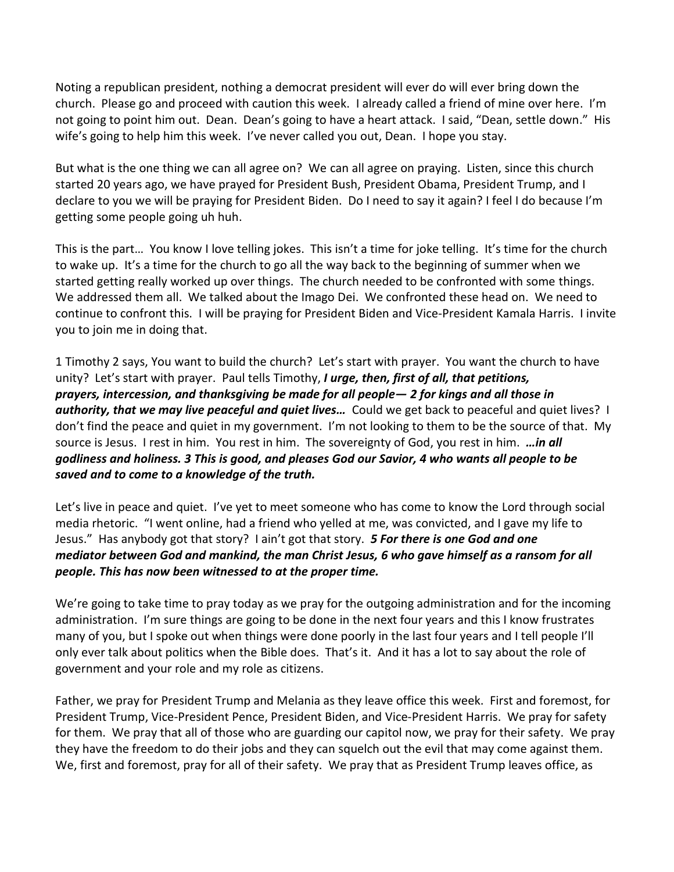Noting a republican president, nothing a democrat president will ever do will ever bring down the church. Please go and proceed with caution this week. I already called a friend of mine over here. I'm not going to point him out. Dean. Dean's going to have a heart attack. I said, "Dean, settle down." His wife's going to help him this week. I've never called you out, Dean. I hope you stay.

But what is the one thing we can all agree on? We can all agree on praying. Listen, since this church started 20 years ago, we have prayed for President Bush, President Obama, President Trump, and I declare to you we will be praying for President Biden. Do I need to say it again? I feel I do because I'm getting some people going uh huh.

This is the part… You know I love telling jokes. This isn't a time for joke telling. It's time for the church to wake up. It's a time for the church to go all the way back to the beginning of summer when we started getting really worked up over things. The church needed to be confronted with some things. We addressed them all. We talked about the Imago Dei. We confronted these head on. We need to continue to confront this. I will be praying for President Biden and Vice-President Kamala Harris. I invite you to join me in doing that.

1 Timothy 2 says, You want to build the church? Let's start with prayer. You want the church to have unity? Let's start with prayer. Paul tells Timothy, *I urge, then, first of all, that petitions, prayers, intercession, and thanksgiving be made for all people— 2 for kings and all those in authority, that we may live peaceful and quiet lives…* Could we get back to peaceful and quiet lives? I don't find the peace and quiet in my government. I'm not looking to them to be the source of that. My source is Jesus. I rest in him. You rest in him. The sovereignty of God, you rest in him. *…in all godliness and holiness. 3 This is good, and pleases God our Savior, 4 who wants all people to be saved and to come to a knowledge of the truth.*

Let's live in peace and quiet. I've yet to meet someone who has come to know the Lord through social media rhetoric. "I went online, had a friend who yelled at me, was convicted, and I gave my life to Jesus." Has anybody got that story? I ain't got that story. *5 For there is one God and one mediator between God and mankind, the man Christ Jesus, 6 who gave himself as a ransom for all people. This has now been witnessed to at the proper time.*

We're going to take time to pray today as we pray for the outgoing administration and for the incoming administration. I'm sure things are going to be done in the next four years and this I know frustrates many of you, but I spoke out when things were done poorly in the last four years and I tell people I'll only ever talk about politics when the Bible does. That's it. And it has a lot to say about the role of government and your role and my role as citizens.

Father, we pray for President Trump and Melania as they leave office this week. First and foremost, for President Trump, Vice-President Pence, President Biden, and Vice-President Harris. We pray for safety for them. We pray that all of those who are guarding our capitol now, we pray for their safety. We pray they have the freedom to do their jobs and they can squelch out the evil that may come against them. We, first and foremost, pray for all of their safety. We pray that as President Trump leaves office, as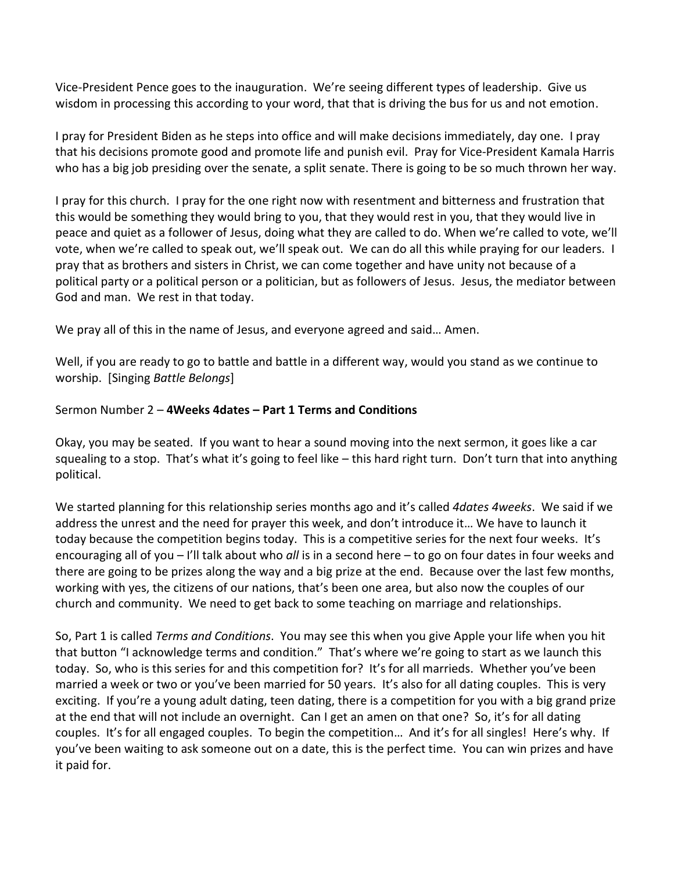Vice-President Pence goes to the inauguration. We're seeing different types of leadership. Give us wisdom in processing this according to your word, that that is driving the bus for us and not emotion.

I pray for President Biden as he steps into office and will make decisions immediately, day one. I pray that his decisions promote good and promote life and punish evil. Pray for Vice-President Kamala Harris who has a big job presiding over the senate, a split senate. There is going to be so much thrown her way.

I pray for this church. I pray for the one right now with resentment and bitterness and frustration that this would be something they would bring to you, that they would rest in you, that they would live in peace and quiet as a follower of Jesus, doing what they are called to do. When we're called to vote, we'll vote, when we're called to speak out, we'll speak out. We can do all this while praying for our leaders. I pray that as brothers and sisters in Christ, we can come together and have unity not because of a political party or a political person or a politician, but as followers of Jesus. Jesus, the mediator between God and man. We rest in that today.

We pray all of this in the name of Jesus, and everyone agreed and said… Amen.

Well, if you are ready to go to battle and battle in a different way, would you stand as we continue to worship. [Singing *Battle Belongs*]

## Sermon Number 2 – **4Weeks 4dates – Part 1 Terms and Conditions**

Okay, you may be seated. If you want to hear a sound moving into the next sermon, it goes like a car squealing to a stop. That's what it's going to feel like – this hard right turn. Don't turn that into anything political.

We started planning for this relationship series months ago and it's called *4dates 4weeks*. We said if we address the unrest and the need for prayer this week, and don't introduce it… We have to launch it today because the competition begins today. This is a competitive series for the next four weeks. It's encouraging all of you – I'll talk about who *all* is in a second here – to go on four dates in four weeks and there are going to be prizes along the way and a big prize at the end. Because over the last few months, working with yes, the citizens of our nations, that's been one area, but also now the couples of our church and community. We need to get back to some teaching on marriage and relationships.

So, Part 1 is called *Terms and Conditions*. You may see this when you give Apple your life when you hit that button "I acknowledge terms and condition." That's where we're going to start as we launch this today. So, who is this series for and this competition for? It's for all marrieds. Whether you've been married a week or two or you've been married for 50 years. It's also for all dating couples. This is very exciting. If you're a young adult dating, teen dating, there is a competition for you with a big grand prize at the end that will not include an overnight. Can I get an amen on that one? So, it's for all dating couples. It's for all engaged couples. To begin the competition… And it's for all singles! Here's why. If you've been waiting to ask someone out on a date, this is the perfect time. You can win prizes and have it paid for.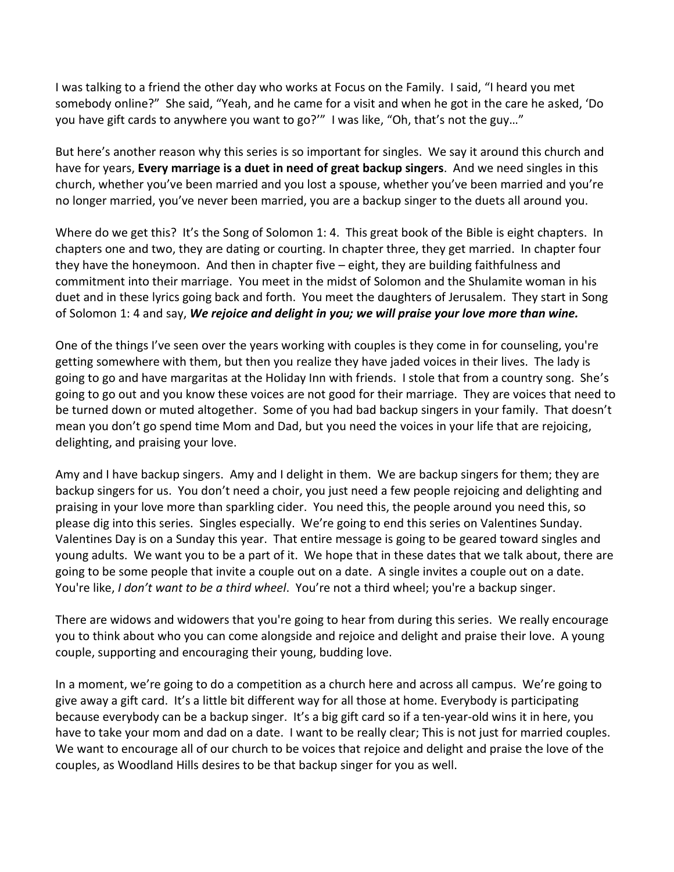I was talking to a friend the other day who works at Focus on the Family. I said, "I heard you met somebody online?" She said, "Yeah, and he came for a visit and when he got in the care he asked, 'Do you have gift cards to anywhere you want to go?'" I was like, "Oh, that's not the guy…"

But here's another reason why this series is so important for singles. We say it around this church and have for years, **Every marriage is a duet in need of great backup singers**. And we need singles in this church, whether you've been married and you lost a spouse, whether you've been married and you're no longer married, you've never been married, you are a backup singer to the duets all around you.

Where do we get this? It's the Song of Solomon 1: 4. This great book of the Bible is eight chapters. In chapters one and two, they are dating or courting. In chapter three, they get married. In chapter four they have the honeymoon. And then in chapter five – eight, they are building faithfulness and commitment into their marriage. You meet in the midst of Solomon and the Shulamite woman in his duet and in these lyrics going back and forth. You meet the daughters of Jerusalem. They start in Song of Solomon 1: 4 and say, *We rejoice and delight in you; we will praise your love more than wine.*

One of the things I've seen over the years working with couples is they come in for counseling, you're getting somewhere with them, but then you realize they have jaded voices in their lives. The lady is going to go and have margaritas at the Holiday Inn with friends. I stole that from a country song. She's going to go out and you know these voices are not good for their marriage. They are voices that need to be turned down or muted altogether. Some of you had bad backup singers in your family. That doesn't mean you don't go spend time Mom and Dad, but you need the voices in your life that are rejoicing, delighting, and praising your love.

Amy and I have backup singers. Amy and I delight in them. We are backup singers for them; they are backup singers for us. You don't need a choir, you just need a few people rejoicing and delighting and praising in your love more than sparkling cider. You need this, the people around you need this, so please dig into this series. Singles especially. We're going to end this series on Valentines Sunday. Valentines Day is on a Sunday this year. That entire message is going to be geared toward singles and young adults. We want you to be a part of it. We hope that in these dates that we talk about, there are going to be some people that invite a couple out on a date. A single invites a couple out on a date. You're like, *I don't want to be a third wheel*. You're not a third wheel; you're a backup singer.

There are widows and widowers that you're going to hear from during this series. We really encourage you to think about who you can come alongside and rejoice and delight and praise their love. A young couple, supporting and encouraging their young, budding love.

In a moment, we're going to do a competition as a church here and across all campus. We're going to give away a gift card. It's a little bit different way for all those at home. Everybody is participating because everybody can be a backup singer. It's a big gift card so if a ten-year-old wins it in here, you have to take your mom and dad on a date. I want to be really clear; This is not just for married couples. We want to encourage all of our church to be voices that rejoice and delight and praise the love of the couples, as Woodland Hills desires to be that backup singer for you as well.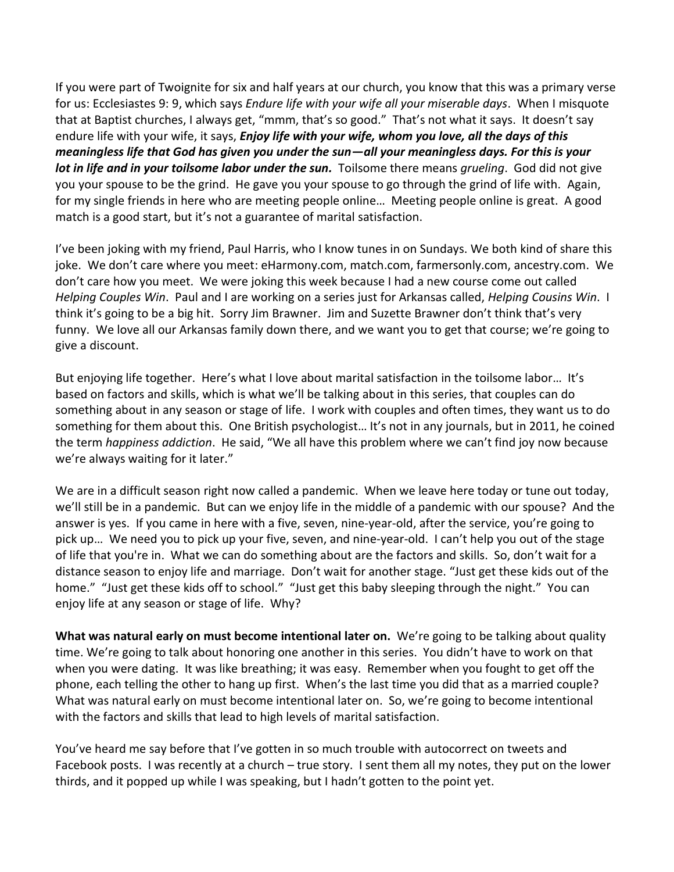If you were part of Twoignite for six and half years at our church, you know that this was a primary verse for us: Ecclesiastes 9: 9, which says *Endure life with your wife all your miserable days*. When I misquote that at Baptist churches, I always get, "mmm, that's so good." That's not what it says. It doesn't say endure life with your wife, it says, *Enjoy life with your wife, whom you love, all the days of this meaningless life that God has given you under the sun—all your meaningless days. For this is your lot in life and in your toilsome labor under the sun.* Toilsome there means *grueling*. God did not give you your spouse to be the grind. He gave you your spouse to go through the grind of life with. Again, for my single friends in here who are meeting people online… Meeting people online is great. A good match is a good start, but it's not a guarantee of marital satisfaction.

I've been joking with my friend, Paul Harris, who I know tunes in on Sundays. We both kind of share this joke. We don't care where you meet: eHarmony.com, match.com, farmersonly.com, ancestry.com. We don't care how you meet. We were joking this week because I had a new course come out called *Helping Couples Win*. Paul and I are working on a series just for Arkansas called, *Helping Cousins Win*. I think it's going to be a big hit. Sorry Jim Brawner. Jim and Suzette Brawner don't think that's very funny. We love all our Arkansas family down there, and we want you to get that course; we're going to give a discount.

But enjoying life together. Here's what I love about marital satisfaction in the toilsome labor... It's based on factors and skills, which is what we'll be talking about in this series, that couples can do something about in any season or stage of life. I work with couples and often times, they want us to do something for them about this. One British psychologist… It's not in any journals, but in 2011, he coined the term *happiness addiction*. He said, "We all have this problem where we can't find joy now because we're always waiting for it later."

We are in a difficult season right now called a pandemic. When we leave here today or tune out today, we'll still be in a pandemic. But can we enjoy life in the middle of a pandemic with our spouse? And the answer is yes. If you came in here with a five, seven, nine-year-old, after the service, you're going to pick up… We need you to pick up your five, seven, and nine-year-old. I can't help you out of the stage of life that you're in. What we can do something about are the factors and skills. So, don't wait for a distance season to enjoy life and marriage. Don't wait for another stage. "Just get these kids out of the home." "Just get these kids off to school." "Just get this baby sleeping through the night." You can enjoy life at any season or stage of life. Why?

**What was natural early on must become intentional later on.** We're going to be talking about quality time. We're going to talk about honoring one another in this series. You didn't have to work on that when you were dating. It was like breathing; it was easy. Remember when you fought to get off the phone, each telling the other to hang up first. When's the last time you did that as a married couple? What was natural early on must become intentional later on. So, we're going to become intentional with the factors and skills that lead to high levels of marital satisfaction.

You've heard me say before that I've gotten in so much trouble with autocorrect on tweets and Facebook posts. I was recently at a church – true story. I sent them all my notes, they put on the lower thirds, and it popped up while I was speaking, but I hadn't gotten to the point yet.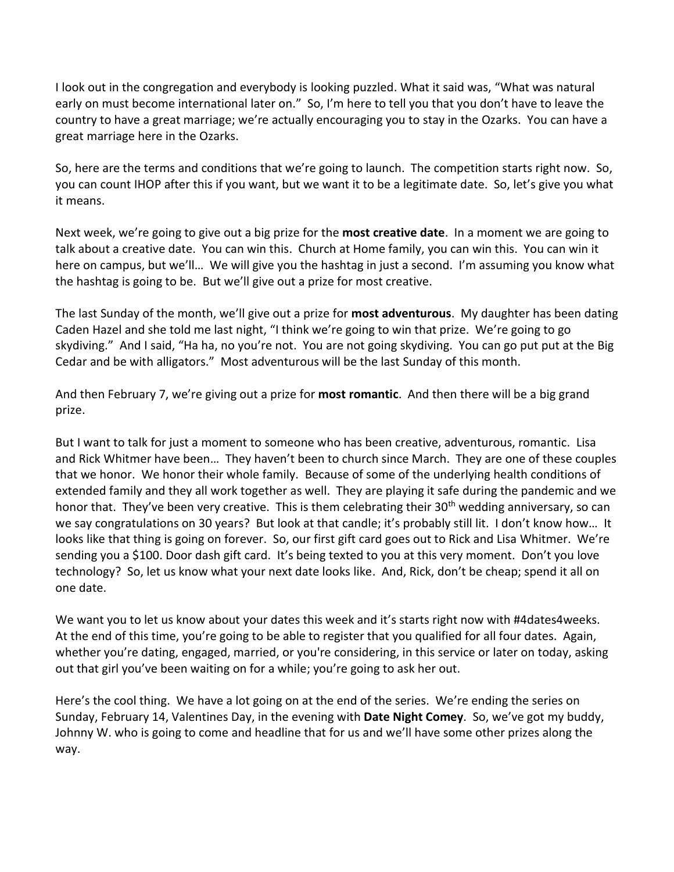I look out in the congregation and everybody is looking puzzled. What it said was, "What was natural early on must become international later on." So, I'm here to tell you that you don't have to leave the country to have a great marriage; we're actually encouraging you to stay in the Ozarks. You can have a great marriage here in the Ozarks.

So, here are the terms and conditions that we're going to launch. The competition starts right now. So, you can count IHOP after this if you want, but we want it to be a legitimate date. So, let's give you what it means.

Next week, we're going to give out a big prize for the **most creative date**. In a moment we are going to talk about a creative date. You can win this. Church at Home family, you can win this. You can win it here on campus, but we'll… We will give you the hashtag in just a second. I'm assuming you know what the hashtag is going to be. But we'll give out a prize for most creative.

The last Sunday of the month, we'll give out a prize for **most adventurous**. My daughter has been dating Caden Hazel and she told me last night, "I think we're going to win that prize. We're going to go skydiving." And I said, "Ha ha, no you're not. You are not going skydiving. You can go put put at the Big Cedar and be with alligators." Most adventurous will be the last Sunday of this month.

And then February 7, we're giving out a prize for **most romantic**. And then there will be a big grand prize.

But I want to talk for just a moment to someone who has been creative, adventurous, romantic. Lisa and Rick Whitmer have been… They haven't been to church since March. They are one of these couples that we honor. We honor their whole family. Because of some of the underlying health conditions of extended family and they all work together as well. They are playing it safe during the pandemic and we honor that. They've been very creative. This is them celebrating their  $30<sup>th</sup>$  wedding anniversary, so can we say congratulations on 30 years? But look at that candle; it's probably still lit. I don't know how… It looks like that thing is going on forever. So, our first gift card goes out to Rick and Lisa Whitmer. We're sending you a \$100. Door dash gift card. It's being texted to you at this very moment. Don't you love technology? So, let us know what your next date looks like. And, Rick, don't be cheap; spend it all on one date.

We want you to let us know about your dates this week and it's starts right now with #4dates4weeks. At the end of this time, you're going to be able to register that you qualified for all four dates. Again, whether you're dating, engaged, married, or you're considering, in this service or later on today, asking out that girl you've been waiting on for a while; you're going to ask her out.

Here's the cool thing. We have a lot going on at the end of the series. We're ending the series on Sunday, February 14, Valentines Day, in the evening with **Date Night Comey**. So, we've got my buddy, Johnny W. who is going to come and headline that for us and we'll have some other prizes along the way.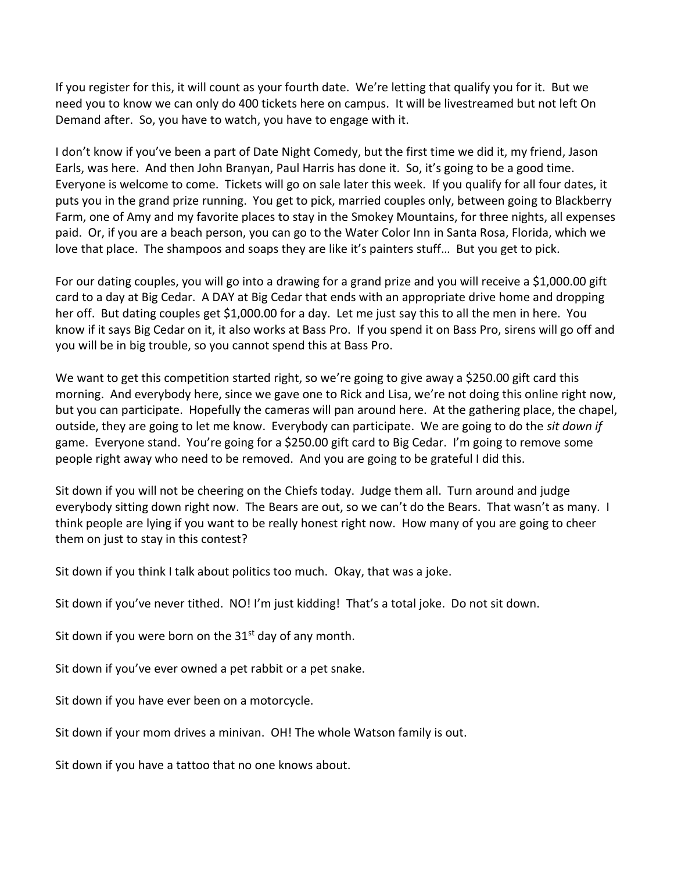If you register for this, it will count as your fourth date. We're letting that qualify you for it. But we need you to know we can only do 400 tickets here on campus. It will be livestreamed but not left On Demand after. So, you have to watch, you have to engage with it.

I don't know if you've been a part of Date Night Comedy, but the first time we did it, my friend, Jason Earls, was here. And then John Branyan, Paul Harris has done it. So, it's going to be a good time. Everyone is welcome to come. Tickets will go on sale later this week. If you qualify for all four dates, it puts you in the grand prize running. You get to pick, married couples only, between going to Blackberry Farm, one of Amy and my favorite places to stay in the Smokey Mountains, for three nights, all expenses paid. Or, if you are a beach person, you can go to the Water Color Inn in Santa Rosa, Florida, which we love that place. The shampoos and soaps they are like it's painters stuff… But you get to pick.

For our dating couples, you will go into a drawing for a grand prize and you will receive a \$1,000.00 gift card to a day at Big Cedar. A DAY at Big Cedar that ends with an appropriate drive home and dropping her off. But dating couples get \$1,000.00 for a day. Let me just say this to all the men in here. You know if it says Big Cedar on it, it also works at Bass Pro. If you spend it on Bass Pro, sirens will go off and you will be in big trouble, so you cannot spend this at Bass Pro.

We want to get this competition started right, so we're going to give away a \$250.00 gift card this morning. And everybody here, since we gave one to Rick and Lisa, we're not doing this online right now, but you can participate. Hopefully the cameras will pan around here. At the gathering place, the chapel, outside, they are going to let me know. Everybody can participate. We are going to do the *sit down if* game. Everyone stand. You're going for a \$250.00 gift card to Big Cedar. I'm going to remove some people right away who need to be removed. And you are going to be grateful I did this.

Sit down if you will not be cheering on the Chiefs today. Judge them all. Turn around and judge everybody sitting down right now. The Bears are out, so we can't do the Bears. That wasn't as many. I think people are lying if you want to be really honest right now. How many of you are going to cheer them on just to stay in this contest?

Sit down if you think I talk about politics too much. Okay, that was a joke.

Sit down if you've never tithed. NO! I'm just kidding! That's a total joke. Do not sit down.

Sit down if you were born on the  $31<sup>st</sup>$  day of any month.

Sit down if you've ever owned a pet rabbit or a pet snake.

Sit down if you have ever been on a motorcycle.

Sit down if your mom drives a minivan. OH! The whole Watson family is out.

Sit down if you have a tattoo that no one knows about.